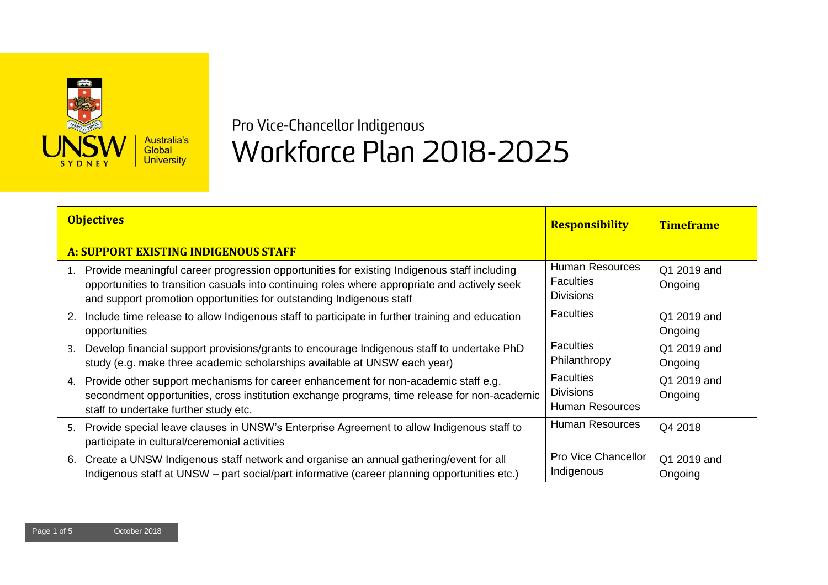

## Pro Vice-Chancellor Indigenous Workforce Plan 2018-2025

| <b>Objectives</b>                                                                                                                                                                                                                                                       | <b>Responsibility</b>                                          | <b>Timeframe</b>       |
|-------------------------------------------------------------------------------------------------------------------------------------------------------------------------------------------------------------------------------------------------------------------------|----------------------------------------------------------------|------------------------|
| <b>A: SUPPORT EXISTING INDIGENOUS STAFF</b>                                                                                                                                                                                                                             |                                                                |                        |
| 1. Provide meaningful career progression opportunities for existing Indigenous staff including<br>opportunities to transition casuals into continuing roles where appropriate and actively seek<br>and support promotion opportunities for outstanding Indigenous staff | <b>Human Resources</b><br><b>Faculties</b><br><b>Divisions</b> | Q1 2019 and<br>Ongoing |
| 2. Include time release to allow Indigenous staff to participate in further training and education<br>opportunities                                                                                                                                                     | <b>Faculties</b>                                               | Q1 2019 and<br>Ongoing |
| Develop financial support provisions/grants to encourage Indigenous staff to undertake PhD<br>3.<br>study (e.g. make three academic scholarships available at UNSW each year)                                                                                           | <b>Faculties</b><br>Philanthropy                               | Q1 2019 and<br>Ongoing |
| Provide other support mechanisms for career enhancement for non-academic staff e.g.<br>4.<br>secondment opportunities, cross institution exchange programs, time release for non-academic<br>staff to undertake further study etc.                                      | <b>Faculties</b><br><b>Divisions</b><br><b>Human Resources</b> | Q1 2019 and<br>Ongoing |
| Provide special leave clauses in UNSW's Enterprise Agreement to allow Indigenous staff to<br>5.<br>participate in cultural/ceremonial activities                                                                                                                        | Human Resources                                                | Q4 2018                |
| 6. Create a UNSW Indigenous staff network and organise an annual gathering/event for all<br>Indigenous staff at UNSW – part social/part informative (career planning opportunities etc.)                                                                                | Pro Vice Chancellor<br>Indigenous                              | Q1 2019 and<br>Ongoing |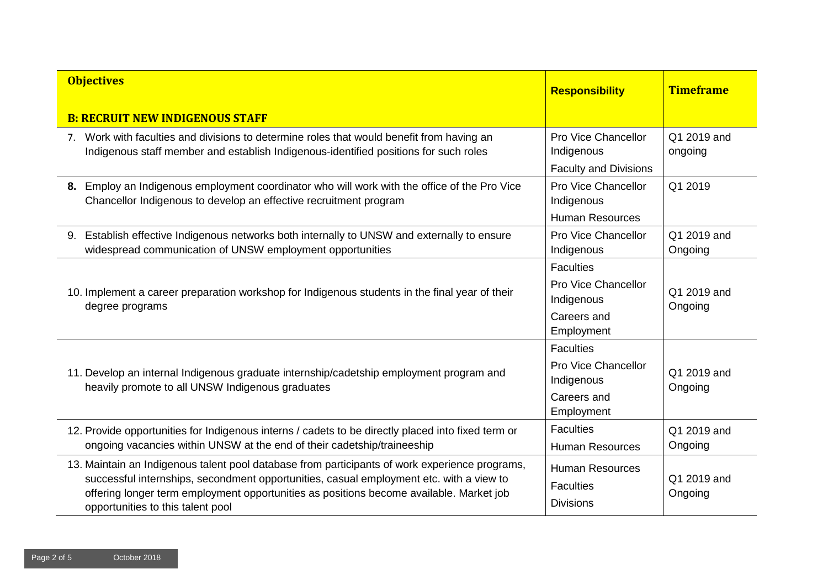| <b>Objectives</b>                                                                                                                                                                                                                                                                                                         | <b>Responsibility</b>                                                                     | <b>Timeframe</b>       |
|---------------------------------------------------------------------------------------------------------------------------------------------------------------------------------------------------------------------------------------------------------------------------------------------------------------------------|-------------------------------------------------------------------------------------------|------------------------|
| <b>B: RECRUIT NEW INDIGENOUS STAFF</b>                                                                                                                                                                                                                                                                                    |                                                                                           |                        |
| 7. Work with faculties and divisions to determine roles that would benefit from having an<br>Indigenous staff member and establish Indigenous-identified positions for such roles                                                                                                                                         | Pro Vice Chancellor<br>Indigenous<br><b>Faculty and Divisions</b>                         | Q1 2019 and<br>ongoing |
| 8. Employ an Indigenous employment coordinator who will work with the office of the Pro Vice<br>Chancellor Indigenous to develop an effective recruitment program                                                                                                                                                         | Pro Vice Chancellor<br>Indigenous<br><b>Human Resources</b>                               | Q1 2019                |
| 9. Establish effective Indigenous networks both internally to UNSW and externally to ensure<br>widespread communication of UNSW employment opportunities                                                                                                                                                                  | Pro Vice Chancellor<br>Indigenous                                                         | Q1 2019 and<br>Ongoing |
| 10. Implement a career preparation workshop for Indigenous students in the final year of their<br>degree programs                                                                                                                                                                                                         | <b>Faculties</b><br><b>Pro Vice Chancellor</b><br>Indigenous<br>Careers and<br>Employment | Q1 2019 and<br>Ongoing |
| 11. Develop an internal Indigenous graduate internship/cadetship employment program and<br>heavily promote to all UNSW Indigenous graduates                                                                                                                                                                               | <b>Faculties</b><br><b>Pro Vice Chancellor</b><br>Indigenous<br>Careers and<br>Employment | Q1 2019 and<br>Ongoing |
| 12. Provide opportunities for Indigenous interns / cadets to be directly placed into fixed term or<br>ongoing vacancies within UNSW at the end of their cadetship/traineeship                                                                                                                                             | <b>Faculties</b><br><b>Human Resources</b>                                                | Q1 2019 and<br>Ongoing |
| 13. Maintain an Indigenous talent pool database from participants of work experience programs,<br>successful internships, secondment opportunities, casual employment etc. with a view to<br>offering longer term employment opportunities as positions become available. Market job<br>opportunities to this talent pool | <b>Human Resources</b><br><b>Faculties</b><br><b>Divisions</b>                            | Q1 2019 and<br>Ongoing |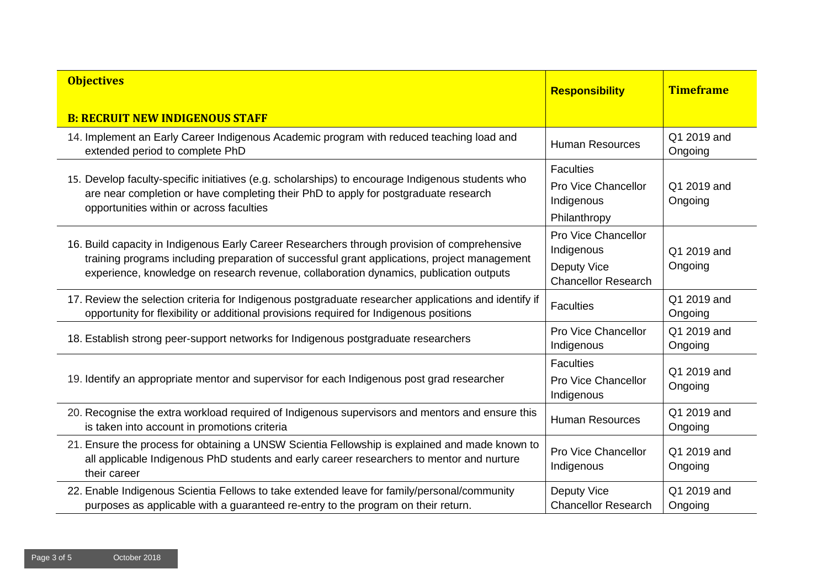| <b>Objectives</b>                                                                                                                                                                                                                                                                      | <b>Responsibility</b>                                                                 | <b>Timeframe</b>       |
|----------------------------------------------------------------------------------------------------------------------------------------------------------------------------------------------------------------------------------------------------------------------------------------|---------------------------------------------------------------------------------------|------------------------|
| <b>B: RECRUIT NEW INDIGENOUS STAFF</b>                                                                                                                                                                                                                                                 |                                                                                       |                        |
| 14. Implement an Early Career Indigenous Academic program with reduced teaching load and<br>extended period to complete PhD                                                                                                                                                            | <b>Human Resources</b>                                                                | Q1 2019 and<br>Ongoing |
| 15. Develop faculty-specific initiatives (e.g. scholarships) to encourage Indigenous students who<br>are near completion or have completing their PhD to apply for postgraduate research<br>opportunities within or across faculties                                                   | <b>Faculties</b><br><b>Pro Vice Chancellor</b><br>Indigenous<br>Philanthropy          | Q1 2019 and<br>Ongoing |
| 16. Build capacity in Indigenous Early Career Researchers through provision of comprehensive<br>training programs including preparation of successful grant applications, project management<br>experience, knowledge on research revenue, collaboration dynamics, publication outputs | <b>Pro Vice Chancellor</b><br>Indigenous<br>Deputy Vice<br><b>Chancellor Research</b> | Q1 2019 and<br>Ongoing |
| 17. Review the selection criteria for Indigenous postgraduate researcher applications and identify if<br>opportunity for flexibility or additional provisions required for Indigenous positions                                                                                        | <b>Faculties</b>                                                                      | Q1 2019 and<br>Ongoing |
| 18. Establish strong peer-support networks for Indigenous postgraduate researchers                                                                                                                                                                                                     | Pro Vice Chancellor<br>Indigenous                                                     | Q1 2019 and<br>Ongoing |
| 19. Identify an appropriate mentor and supervisor for each Indigenous post grad researcher                                                                                                                                                                                             | <b>Faculties</b><br><b>Pro Vice Chancellor</b><br>Indigenous                          | Q1 2019 and<br>Ongoing |
| 20. Recognise the extra workload required of Indigenous supervisors and mentors and ensure this<br>is taken into account in promotions criteria                                                                                                                                        | <b>Human Resources</b>                                                                | Q1 2019 and<br>Ongoing |
| 21. Ensure the process for obtaining a UNSW Scientia Fellowship is explained and made known to<br>all applicable Indigenous PhD students and early career researchers to mentor and nurture<br>their career                                                                            | <b>Pro Vice Chancellor</b><br>Indigenous                                              | Q1 2019 and<br>Ongoing |
| 22. Enable Indigenous Scientia Fellows to take extended leave for family/personal/community<br>purposes as applicable with a guaranteed re-entry to the program on their return.                                                                                                       | Deputy Vice<br><b>Chancellor Research</b>                                             | Q1 2019 and<br>Ongoing |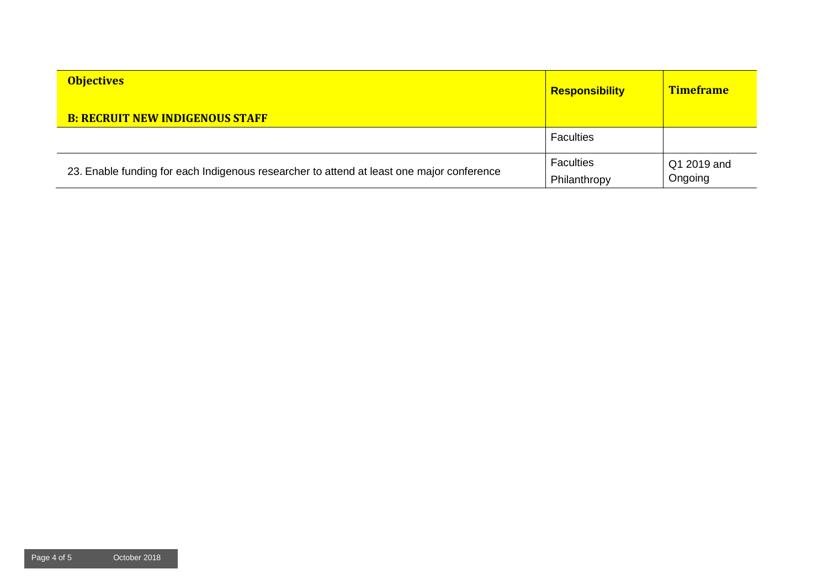| <b>Objectives</b>                                                                         | <b>Responsibility</b>            | <b>Timeframe</b>       |
|-------------------------------------------------------------------------------------------|----------------------------------|------------------------|
| <b>B: RECRUIT NEW INDIGENOUS STAFF</b>                                                    |                                  |                        |
|                                                                                           | <b>Faculties</b>                 |                        |
| 23. Enable funding for each Indigenous researcher to attend at least one major conference | <b>Faculties</b><br>Philanthropy | Q1 2019 and<br>Ongoing |